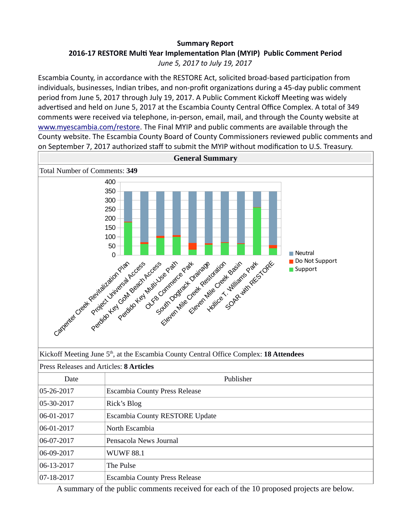## **Summary Report 2016-17 RESTORE MulƟ Year ImplementaƟon Plan (MYIP) Public Comment Period** *June 5, 2017 to July 19, 2017*

Escambia County, in accordance with the RESTORE Act, solicited broad-based participation from individuals, businesses, Indian tribes, and non-profit organizations during a 45-day public comment period from June 5, 2017 through July 19, 2017. A Public Comment Kickoff Meeting was widely advertised and held on June 5, 2017 at the Escambia County Central Office Complex. A total of 349 comments were received via telephone, in-person, email, mail, and through the County website at www.myescambia.com/restore. The Final MYIP and public comments are available through the County website. The Escambia County Board of County Commissioners reviewed public comments and on September 7, 2017 authorized staff to submit the MYIP without modification to U.S. Treasury.



A summary of the public comments received for each of the 10 proposed projects are below.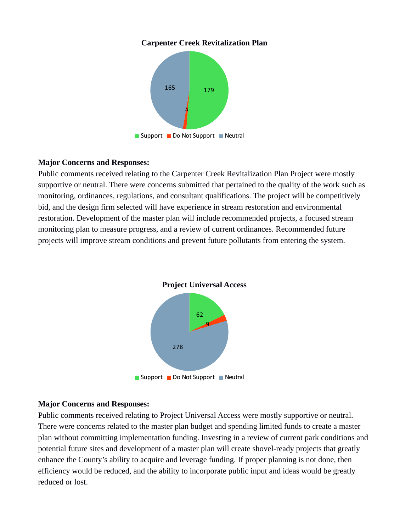#### **Carpenter Creek Revitalization Plan**



## **Major Concerns and Responses:**

Public comments received relating to the Carpenter Creek Revitalization Plan Project were mostly supportive or neutral. There were concerns submitted that pertained to the quality of the work such as monitoring, ordinances, regulations, and consultant qualifications. The project will be competitively bid, and the design firm selected will have experience in stream restoration and environmental restoration. Development of the master plan will include recommended projects, a focused stream monitoring plan to measure progress, and a review of current ordinances. Recommended future projects will improve stream conditions and prevent future pollutants from entering the system.



# **Major Concerns and Responses:**

Public comments received relating to Project Universal Access were mostly supportive or neutral. There were concerns related to the master plan budget and spending limited funds to create a master plan without committing implementation funding. Investing in a review of current park conditions and potential future sites and development of a master plan will create shovel-ready projects that greatly enhance the County's ability to acquire and leverage funding. If proper planning is not done, then efficiency would be reduced, and the ability to incorporate public input and ideas would be greatly reduced or lost.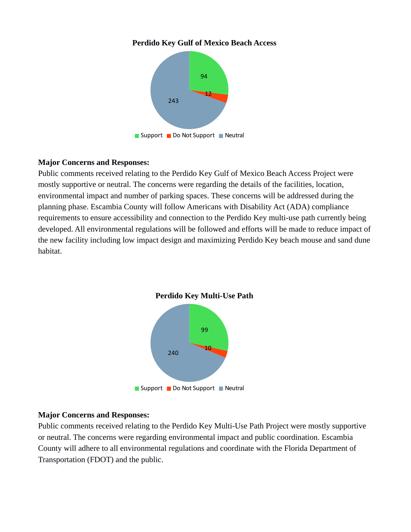#### **Perdido Key Gulf of Mexico Beach Access**



## **Major Concerns and Responses:**

Public comments received relating to the Perdido Key Gulf of Mexico Beach Access Project were mostly supportive or neutral. The concerns were regarding the details of the facilities, location, environmental impact and number of parking spaces. These concerns will be addressed during the planning phase. Escambia County will follow Americans with Disability Act (ADA) compliance requirements to ensure accessibility and connection to the Perdido Key multi-use path currently being developed. All environmental regulations will be followed and efforts will be made to reduce impact of the new facility including low impact design and maximizing Perdido Key beach mouse and sand dune habitat.



#### **Major Concerns and Responses:**

Public comments received relating to the Perdido Key Multi-Use Path Project were mostly supportive or neutral. The concerns were regarding environmental impact and public coordination. Escambia County will adhere to all environmental regulations and coordinate with the Florida Department of Transportation (FDOT) and the public.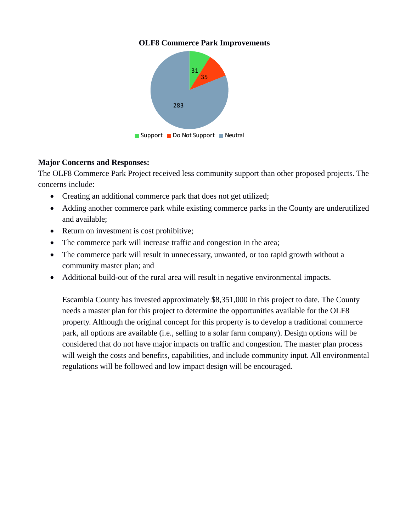## **OLF8 Commerce Park Improvements**



# **Major Concerns and Responses:**

The OLF8 Commerce Park Project received less community support than other proposed projects. The concerns include:

- Creating an additional commerce park that does not get utilized;
- Adding another commerce park while existing commerce parks in the County are underutilized and available;
- Return on investment is cost prohibitive;
- The commerce park will increase traffic and congestion in the area;
- The commerce park will result in unnecessary, unwanted, or too rapid growth without a community master plan; and
- Additional build-out of the rural area will result in negative environmental impacts.

Escambia County has invested approximately \$8,351,000 in this project to date. The County needs a master plan for this project to determine the opportunities available for the OLF8 property. Although the original concept for this property is to develop a traditional commerce park, all options are available (i.e., selling to a solar farm company). Design options will be considered that do not have major impacts on traffic and congestion. The master plan process will weigh the costs and benefits, capabilities, and include community input. All environmental regulations will be followed and low impact design will be encouraged.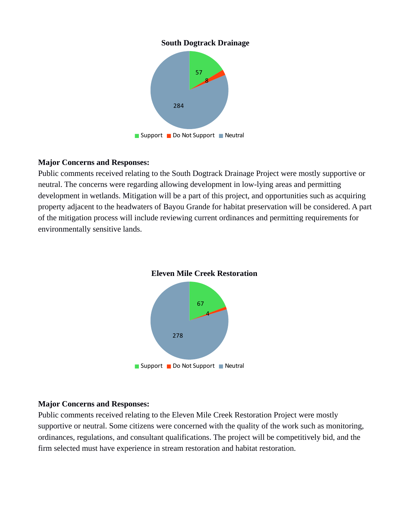#### **South Dogtrack Drainage**



## **Major Concerns and Responses:**

Public comments received relating to the South Dogtrack Drainage Project were mostly supportive or neutral. The concerns were regarding allowing development in low-lying areas and permitting development in wetlands. Mitigation will be a part of this project, and opportunities such as acquiring property adjacent to the headwaters of Bayou Grande for habitat preservation will be considered. A part of the mitigation process will include reviewing current ordinances and permitting requirements for environmentally sensitive lands.



#### **Eleven Mile Creek Restoration**

## **Major Concerns and Responses:**

Public comments received relating to the Eleven Mile Creek Restoration Project were mostly supportive or neutral. Some citizens were concerned with the quality of the work such as monitoring, ordinances, regulations, and consultant qualifications. The project will be competitively bid, and the firm selected must have experience in stream restoration and habitat restoration.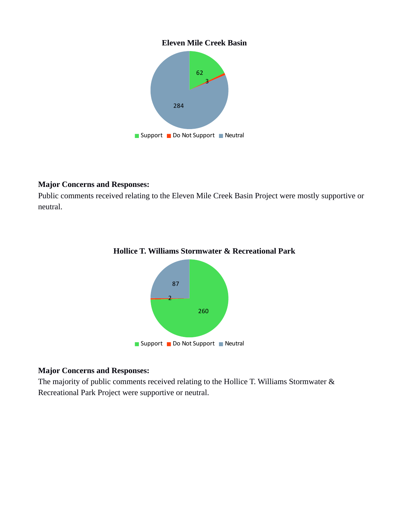

# **Major Concerns and Responses:**

Public comments received relating to the Eleven Mile Creek Basin Project were mostly supportive or neutral.



# **Hollice T. Williams Stormwater & Recreational Park**

# **Major Concerns and Responses:**

The majority of public comments received relating to the Hollice T. Williams Stormwater & Recreational Park Project were supportive or neutral.